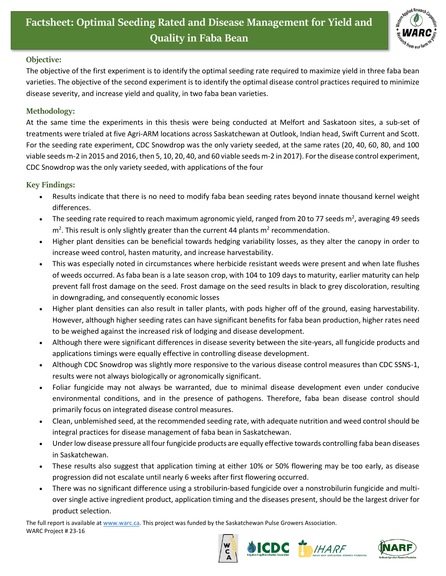

## **Objective:**

The objective of the first experiment is to identify the optimal seeding rate required to maximize yield in three faba bean varieties. The objective of the second experiment is to identify the optimal disease control practices required to minimize disease severity, and increase yield and quality, in two faba bean varieties.

## **Methodology:**

At the same time the experiments in this thesis were being conducted at Melfort and Saskatoon sites, a sub-set of treatments were trialed at five Agri-ARM locations across Saskatchewan at Outlook, Indian head, Swift Current and Scott. For the seeding rate experiment, CDC Snowdrop was the only variety seeded, at the same rates (20, 40, 60, 80, and 100 viable seeds m-2 in 2015 and 2016, then 5, 10, 20, 40, and 60 viable seeds m-2 in 2017). For the disease control experiment, CDC Snowdrop was the only variety seeded, with applications of the four

## **Key Findings:**

- Results indicate that there is no need to modify faba bean seeding rates beyond innate thousand kernel weight differences.
- The seeding rate required to reach maximum agronomic yield, ranged from 20 to 77 seeds m<sup>2</sup>, averaging 49 seeds  $m<sup>2</sup>$ . This result is only slightly greater than the current 44 plants  $m<sup>2</sup>$  recommendation.
- Higher plant densities can be beneficial towards hedging variability losses, as they alter the canopy in order to increase weed control, hasten maturity, and increase harvestability.
- This was especially noted in circumstances where herbicide resistant weeds were present and when late flushes of weeds occurred. As faba bean is a late season crop, with 104 to 109 days to maturity, earlier maturity can help prevent fall frost damage on the seed. Frost damage on the seed results in black to grey discoloration, resulting in downgrading, and consequently economic losses
- Higher plant densities can also result in taller plants, with pods higher off of the ground, easing harvestability. However, although higher seeding rates can have significant benefits for faba bean production, higher rates need to be weighed against the increased risk of lodging and disease development.
- Although there were significant differences in disease severity between the site-years, all fungicide products and applications timings were equally effective in controlling disease development.
- Although CDC Snowdrop was slightly more responsive to the various disease control measures than CDC SSNS-1, results were not always biologically or agronomically significant.
- Foliar fungicide may not always be warranted, due to minimal disease development even under conducive environmental conditions, and in the presence of pathogens. Therefore, faba bean disease control should primarily focus on integrated disease control measures.
- Clean, unblemished seed, at the recommended seeding rate, with adequate nutrition and weed control should be integral practices for disease management of faba bean in Saskatchewan.
- Under low disease pressure all four fungicide products are equally effective towards controlling faba bean diseases in Saskatchewan.
- These results also suggest that application timing at either 10% or 50% flowering may be too early, as disease progression did not escalate until nearly 6 weeks after first flowering occurred.
- There was no significant difference using a strobilurin-based fungicide over a nonstrobilurin fungicide and multiover single active ingredient product, application timing and the diseases present, should be the largest driver for product selection.

The full report is available at [www.warc.ca.](http://www.warc.ca/) This project was funded by the Saskatchewan Pulse Growers Association. WARC Project # 23-16